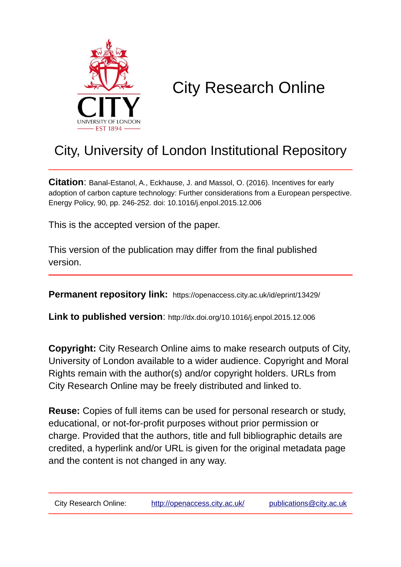

# City Research Online

# City, University of London Institutional Repository

**Citation**: Banal-Estanol, A., Eckhause, J. and Massol, O. (2016). Incentives for early adoption of carbon capture technology: Further considerations from a European perspective. Energy Policy, 90, pp. 246-252. doi: 10.1016/j.enpol.2015.12.006

This is the accepted version of the paper.

This version of the publication may differ from the final published version.

**Permanent repository link:** https://openaccess.city.ac.uk/id/eprint/13429/

**Link to published version**: http://dx.doi.org/10.1016/j.enpol.2015.12.006

**Copyright:** City Research Online aims to make research outputs of City, University of London available to a wider audience. Copyright and Moral Rights remain with the author(s) and/or copyright holders. URLs from City Research Online may be freely distributed and linked to.

**Reuse:** Copies of full items can be used for personal research or study, educational, or not-for-profit purposes without prior permission or charge. Provided that the authors, title and full bibliographic details are credited, a hyperlink and/or URL is given for the original metadata page and the content is not changed in any way.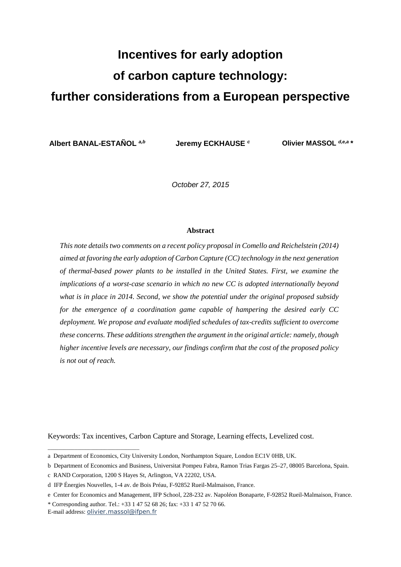# **Incentives for early adoption of carbon capture technology: further considerations from a European perspective**

**Albert BANAL-ESTAÑOL** *a,b* **Jeremy ECKHAUSE** *<sup>c</sup>* **Olivier MASSOL** *d,e,a \**

*October 27, 2015*

#### **Abstract**

*This note details two comments on a recent policy proposal in Comello and Reichelstein (2014) aimed at favoring the early adoption of Carbon Capture (CC) technology in the next generation of thermal-based power plants to be installed in the United States. First, we examine the implications of a worst-case scenario in which no new CC is adopted internationally beyond what is in place in 2014. Second, we show the potential under the original proposed subsidy for the emergence of a coordination game capable of hampering the desired early CC deployment. We propose and evaluate modified schedules of tax-credits sufficient to overcome these concerns. These additions strengthen the argument in the original article: namely, though higher incentive levels are necessary, our findings confirm that the cost of the proposed policy is not out of reach.*

Keywords: Tax incentives, Carbon Capture and Storage, Learning effects, Levelized cost.

\_\_\_\_\_\_\_\_\_\_\_\_\_\_\_\_\_\_\_\_\_\_\_\_\_\_\_\_\_\_\_\_\_\_

a Department of Economics, City University London, Northampton Square, London EC1V 0HB, UK.

b Department of Economics and Business, Universitat Pompeu Fabra, Ramon Trias Fargas 25–27, 08005 Barcelona, Spain.

c RAND Corporation, 1200 S Hayes St, Arlington, VA 22202, USA.

d IFP Énergies Nouvelles, 1-4 av. de Bois Préau, F-92852 Rueil-Malmaison, France.

e Center for Economics and Management, IFP School, 228-232 av. Napoléon Bonaparte, F-92852 Rueil-Malmaison, France.

<sup>\*</sup> Corresponding author. Tel.: +33 1 47 52 68 26; fax: +33 1 47 52 70 66. E-mail address: [olivier.massol@ifpen.fr](mailto:olivier.massol@ifpen.fr)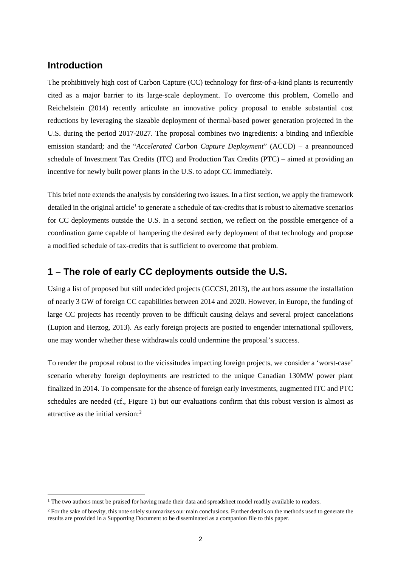# **Introduction**

The prohibitively high cost of Carbon Capture (CC) technology for first-of-a-kind plants is recurrently cited as a major barrier to its large-scale deployment. To overcome this problem, Comello and Reichelstein (2014) recently articulate an innovative policy proposal to enable substantial cost reductions by leveraging the sizeable deployment of thermal-based power generation projected in the U.S. during the period 2017-2027. The proposal combines two ingredients: a binding and inflexible emission standard; and the "*Accelerated Carbon Capture Deployment*" (ACCD) – a preannounced schedule of Investment Tax Credits (ITC) and Production Tax Credits (PTC) – aimed at providing an incentive for newly built power plants in the U.S. to adopt CC immediately.

This brief note extends the analysis by considering two issues. In a first section, we apply the framework detailed in the original article<sup>[1](#page-2-0)</sup> to generate a schedule of tax-credits that is robust to alternative scenarios for CC deployments outside the U.S. In a second section, we reflect on the possible emergence of a coordination game capable of hampering the desired early deployment of that technology and propose a modified schedule of tax-credits that is sufficient to overcome that problem.

## **1 – The role of early CC deployments outside the U.S.**

Using a list of proposed but still undecided projects (GCCSI, 2013), the authors assume the installation of nearly 3 GW of foreign CC capabilities between 2014 and 2020. However, in Europe, the funding of large CC projects has recently proven to be difficult causing delays and several project cancelations (Lupion and Herzog, 2013). As early foreign projects are posited to engender international spillovers, one may wonder whether these withdrawals could undermine the proposal's success.

To render the proposal robust to the vicissitudes impacting foreign projects, we consider a 'worst-case' scenario whereby foreign deployments are restricted to the unique Canadian 130MW power plant finalized in 2014. To compensate for the absence of foreign early investments, augmented ITC and PTC schedules are needed (cf., Figure 1) but our evaluations confirm that this robust version is almost as attractive as the initial version:[2](#page-2-1)

<span id="page-2-0"></span><sup>&</sup>lt;sup>1</sup> The two authors must be praised for having made their data and spreadsheet model readily available to readers.

<span id="page-2-1"></span><sup>&</sup>lt;sup>2</sup> For the sake of brevity, this note solely summarizes our main conclusions. Further details on the methods used to generate the results are provided in a Supporting Document to be disseminated as a companion file to this paper.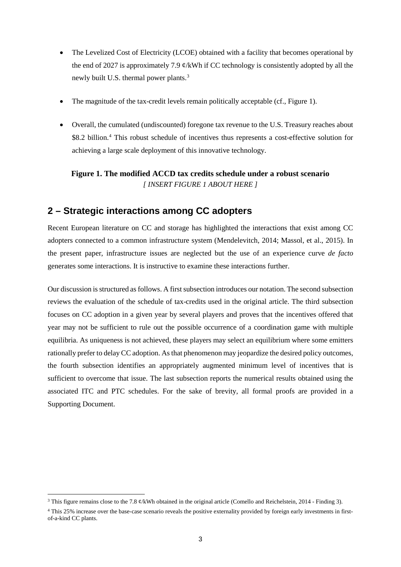- The Levelized Cost of Electricity (LCOE) obtained with a facility that becomes operational by the end of 2027 is approximately 7.9  $\phi$ /kWh if CC technology is consistently adopted by all the newly built U.S. thermal power plants.<sup>[3](#page-3-0)</sup>
- The magnitude of the tax-credit levels remain politically acceptable (cf., Figure 1).
- Overall, the cumulated (undiscounted) foregone tax revenue to the U.S. Treasury reaches about \$8.2 billion. [4](#page-3-1) This robust schedule of incentives thus represents a cost-effective solution for achieving a large scale deployment of this innovative technology.

## **Figure 1. The modified ACCD tax credits schedule under a robust scenario** *[ INSERT FIGURE 1 ABOUT HERE ]*

# **2 – Strategic interactions among CC adopters**

Recent European literature on CC and storage has highlighted the interactions that exist among CC adopters connected to a common infrastructure system (Mendelevitch, 2014; Massol, et al., 2015). In the present paper, infrastructure issues are neglected but the use of an experience curve *de facto* generates some interactions. It is instructive to examine these interactions further.

Our discussion is structured as follows. A first subsection introduces our notation. The second subsection reviews the evaluation of the schedule of tax-credits used in the original article. The third subsection focuses on CC adoption in a given year by several players and proves that the incentives offered that year may not be sufficient to rule out the possible occurrence of a coordination game with multiple equilibria. As uniqueness is not achieved, these players may select an equilibrium where some emitters rationally prefer to delay CC adoption. As that phenomenon may jeopardize the desired policy outcomes, the fourth subsection identifies an appropriately augmented minimum level of incentives that is sufficient to overcome that issue. The last subsection reports the numerical results obtained using the associated ITC and PTC schedules. For the sake of brevity, all formal proofs are provided in a Supporting Document.

<span id="page-3-0"></span><sup>&</sup>lt;sup>3</sup> This figure remains close to the 7.8 ¢/kWh obtained in the original article (Comello and Reichelstein, 2014 - Finding 3).

<span id="page-3-1"></span><sup>4</sup> This 25% increase over the base-case scenario reveals the positive externality provided by foreign early investments in firstof-a-kind CC plants.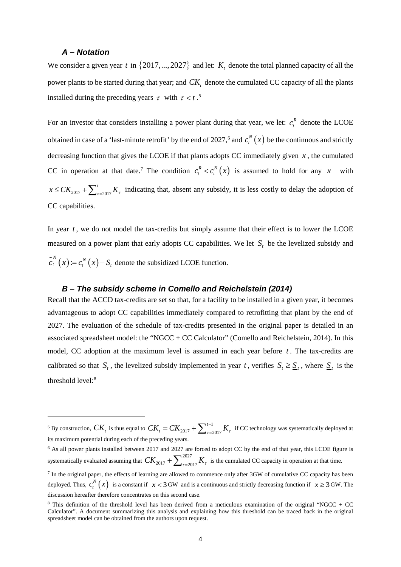#### *A – Notation*

 $\overline{a}$ 

We consider a given year t in  $\{2017,..., 2027\}$  and let:  $K<sub>t</sub>$  denote the total planned capacity of all the power plants to be started during that year; and  $CK$ , denote the cumulated CC capacity of all the plants installed during the preceding years  $\tau$  with  $\tau < t$ .<sup>[5](#page-4-0)</sup>

For an investor that considers installing a power plant during that year, we let:  $c_t^R$  denote the LCOE obtained in case of a 'last-minute retrofit' by the end of 2027,<sup>[6](#page-4-1)</sup> and  $c_i^N(x)$  be the continuous and strictly decreasing function that gives the LCOE if that plants adopts CC immediately given  $x$ , the cumulated CC in operation at that date.<sup>[7](#page-4-2)</sup> The condition  $c_t^R < c_t^N(x)$  is assumed to hold for any x with 2017  $\frac{1}{\tau}$   $\frac{1}{\tau}$  = 2017  $x \leq CK_{2017} + \sum_{\tau=2017}^{t} K_{\tau}$  indicating that, absent any subsidy, it is less costly to delay the adoption of CC capabilities.

In year *t* , we do not model the tax-credits but simply assume that their effect is to lower the LCOE measured on a power plant that early adopts CC capabilities. We let  $S_t$  be the levelized subsidy and  $\tilde{c}_t^N(x) := c_t^N(x) - S_t$  denote the subsidized LCOE function.

#### *B – The subsidy scheme in Comello and Reichelstein (2014)*

Recall that the ACCD tax-credits are set so that, for a facility to be installed in a given year, it becomes advantageous to adopt CC capabilities immediately compared to retrofitting that plant by the end of 2027. The evaluation of the schedule of tax-credits presented in the original paper is detailed in an associated spreadsheet model: the "NGCC + CC Calculator" (Comello and Reichelstein, 2014). In this model, CC adoption at the maximum level is assumed in each year before *t* . The tax-credits are calibrated so that  $S_t$ , the levelized subsidy implemented in year t, verifies  $S_t \geq S_t$ , where  $S_t$  is the threshold level:<sup>8</sup>

<span id="page-4-0"></span><sup>&</sup>lt;sup>5</sup> By construction,  $CK_t$  is thus equal to  $CK_t = CK_{2017} + \sum_{\tau=1}^{t-1}$  $2017 \frac{1}{\epsilon} \sum_{\tau=2017}$  $CK_t = CK_{2017} + \sum_{\tau=2017}^{t-1} K_{\tau}$  if CC technology was systematically deployed at its maximum potential during each of the preceding years.

<span id="page-4-1"></span><sup>&</sup>lt;sup>6</sup> As all power plants installed between 2017 and 2027 are forced to adopt CC by the end of that year, this LCOE figure is systematically evaluated assuming that  $CK_{2017} + \sum_{i=20}^{2027}$  $CK_{2017} + \sum_{\tau=2017}^{2027} K_{\tau}$  is the cumulated CC capacity in operation at that time.

<span id="page-4-2"></span><sup>&</sup>lt;sup>7</sup> In the original paper, the effects of learning are allowed to commence only after 3GW of cumulative CC capacity has been deployed. Thus,  $c_t^N(x)$  is a constant if  $x < 3$  GW and is a continuous and strictly decreasing function if  $x \ge 3$  GW. The discussion hereafter therefore concentrates on this second case.

<span id="page-4-3"></span><sup>8</sup> This definition of the threshold level has been derived from a meticulous examination of the original "NGCC + CC Calculator". A document summarizing this analysis and explaining how this threshold can be traced back in the original spreadsheet model can be obtained from the authors upon request.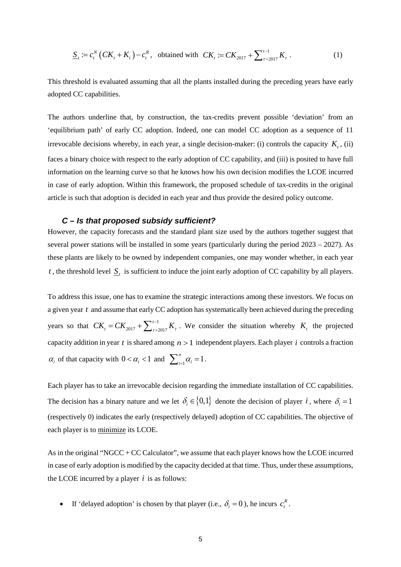$$
\underline{S}_{t} := c_{t}^{N} \left( C K_{t} + K_{t} \right) - c_{t}^{R}, \text{ obtained with } CK_{t} := CK_{2017} + \sum_{\tau=2017}^{t-1} K_{\tau}. \tag{1}
$$

This threshold is evaluated assuming that all the plants installed during the preceding years have early adopted CC capabilities.

The authors underline that, by construction, the tax-credits prevent possible 'deviation' from an 'equilibrium path' of early CC adoption. Indeed, one can model CC adoption as a sequence of 11 irrevocable decisions whereby, in each year, a single decision-maker: (i) controls the capacity  $K_t$ , (ii) faces a binary choice with respect to the early adoption of CC capability, and (iii) is posited to have full information on the learning curve so that he knows how his own decision modifies the LCOE incurred in case of early adoption. Within this framework, the proposed schedule of tax-credits in the original article is such that adoption is decided in each year and thus provide the desired policy outcome.

#### *C – Is that proposed subsidy sufficient?*

However, the capacity forecasts and the standard plant size used by the authors together suggest that several power stations will be installed in some years (particularly during the period 2023 – 2027). As these plants are likely to be owned by independent companies, one may wonder whether, in each year *t*, the threshold level  $S_t$  is sufficient to induce the joint early adoption of CC capability by all players.

To address this issue, one has to examine the strategic interactions among these investors. We focus on a given year *t* and assume that early CC adoption has systematically been achieved during the preceding years so that  $CK_1 = CK_{2017} + \sum_{i=1}^{t-1}$ 2017  $\frac{1}{\epsilon}$   $\frac{1}{\epsilon}$  = 2017  $CK_t = CK_{2017} + \sum_{\tau=2017}^{t-1} K_{\tau}$ . We consider the situation whereby  $K_t$  the projected capacity addition in year *t* is shared among  $n > 1$  independent players. Each player *i* controls a fraction  $\alpha_i$  of that capacity with  $0 < \alpha_i < 1$  and  $\sum_{i=1}^n \alpha_i = 1$ .

Each player has to take an irrevocable decision regarding the immediate installation of CC capabilities. The decision has a binary nature and we let  $\delta_i \in \{0,1\}$  denote the decision of player *i*, where  $\delta_i = 1$ (respectively 0) indicates the early (respectively delayed) adoption of CC capabilities. The objective of each player is to minimize its LCOE.

As in the original "NGCC + CC Calculator", we assume that each player knows how the LCOE incurred in case of early adoption is modified by the capacity decided at that time. Thus, under these assumptions, the LCOE incurred by a player  $i$  is as follows:

• If 'delayed adoption' is chosen by that player (i.e.,  $\delta_i = 0$ ), he incurs  $c_i^R$ .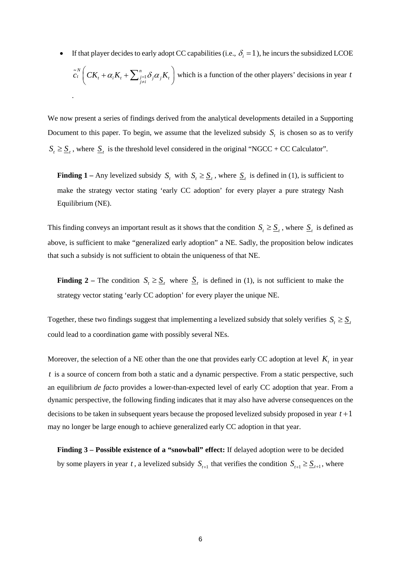If that player decides to early adopt CC capabilities (i.e.,  $\delta_i = 1$ ), he incurs the subsidized LCOE 1  $N \left( \begin{array}{ccc} 0 & x \\ y & y \end{array} \right)$  $\tilde{c}_t^N\left(CK_t + \alpha_i K_t + \sum_{j=1}^n \delta_j \alpha_j K_t\right)$  which is a function of the other players' decisions in year *t* .

We now present a series of findings derived from the analytical developments detailed in a Supporting Document to this paper. To begin, we assume that the levelized subsidy  $S_t$  is chosen so as to verify  $S_t \geq S_t$ , where  $S_t$  is the threshold level considered in the original "NGCC + CC Calculator".

**Finding 1** – Any levelized subsidy  $S_t$  with  $S_t \geq \underline{S}_t$ , where  $\underline{S}_t$  is defined in (1), is sufficient to make the strategy vector stating 'early CC adoption' for every player a pure strategy Nash Equilibrium (NE).

This finding conveys an important result as it shows that the condition  $S_t \geq S_t$ , where  $S_t$  is defined as above, is sufficient to make "generalized early adoption" a NE. Sadly, the proposition below indicates that such a subsidy is not sufficient to obtain the uniqueness of that NE.

**Finding 2** – The condition  $S_t \geq \underline{S}_t$  where  $\underline{S}_t$  is defined in (1), is not sufficient to make the strategy vector stating 'early CC adoption' for every player the unique NE.

Together, these two findings suggest that implementing a levelized subsidy that solely verifies  $S_t \geq S_t$ could lead to a coordination game with possibly several NEs.

Moreover, the selection of a NE other than the one that provides early CC adoption at level  $K_t$  in year *t* is a source of concern from both a static and a dynamic perspective. From a static perspective, such an equilibrium *de facto* provides a lower-than-expected level of early CC adoption that year. From a dynamic perspective, the following finding indicates that it may also have adverse consequences on the decisions to be taken in subsequent years because the proposed levelized subsidy proposed in year *t* +1 may no longer be large enough to achieve generalized early CC adoption in that year.

**Finding 3 – Possible existence of a "snowball" effect:** If delayed adoption were to be decided by some players in year *t*, a levelized subsidy  $S_{t+1}$  that verifies the condition  $S_{t+1} \geq S_{t+1}$ , where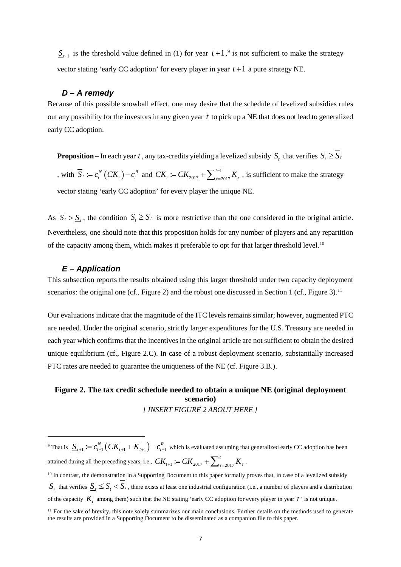$\underline{S}_{t+1}$  is the threshold value defined in (1) for year  $t+1$ , <sup>[9](#page-7-0)</sup> is not sufficient to make the strategy vector stating 'early CC adoption' for every player in year  $t+1$  a pure strategy NE.

#### *D – A remedy*

Because of this possible snowball effect, one may desire that the schedule of levelized subsidies rules out any possibility for the investors in any given year *t* to pick up a NE that does not lead to generalized early CC adoption.

**Proposition** – In each year *t*, any tax-credits yielding a levelized subsidy  $S_t$  that verifies  $S_t \geq \overline{S}_t$ , with  $\overline{S}_t := c_t^N (CK_t) - c_t^R$  and  $CK_t := CK_{2017} + \sum_{\tau=t}^{t-1}$  $CK_t := CK_{2017} + \sum_{\tau=2017}^{t-1} K_{\tau}$ , is sufficient to make the strategy vector stating 'early CC adoption' for every player the unique NE.

As  $\overline{S}_t > \underline{S}_t$ , the condition  $S_t \ge \overline{S}_t$  is more restrictive than the one considered in the original article. Nevertheless, one should note that this proposition holds for any number of players and any repartition of the capacity among them, which makes it preferable to opt for that larger threshold level.<sup>[10](#page-7-1)</sup>

#### *E – Application*

This subsection reports the results obtained using this larger threshold under two capacity deployment scenarios: the original one (cf., Figure 2) and the robust one discussed in Section 1 (cf., Figure 3).<sup>[11](#page-7-2)</sup>

Our evaluations indicate that the magnitude of the ITC levels remains similar; however, augmented PTC are needed. Under the original scenario, strictly larger expenditures for the U.S. Treasury are needed in each year which confirms that the incentives in the original article are not sufficient to obtain the desired unique equilibrium (cf., Figure 2.C). In case of a robust deployment scenario, substantially increased PTC rates are needed to guarantee the uniqueness of the NE (cf. Figure 3.B.).

#### **Figure 2. The tax credit schedule needed to obtain a unique NE (original deployment scenario)** *[ INSERT FIGURE 2 ABOUT HERE ]*

<span id="page-7-0"></span> $\overline{a}$ <sup>9</sup> That is  $S_{t+1} := c_{t+1}^N (CK_{t+1} + K_{t+1}) - c_{t+1}^R$  which is evaluated assuming that generalized early CC adoption has been attained during all the preceding years, i.e.,  $\,_{t+1} := CK_{2017} + \sum_{\tau=2017}^t K_\tau \,$  . <sup>10</sup> In contrast, the demonstration in a Supporting Document to this paper formally proves that, in case of a levelized subsidy  $S_t$  that verifies  $S_t \leq S_t \leq S_t$ , there exists at least one industrial configuration (i.e., a number of players and a distribution of the capacity  $K_t$  among them) such that the NE stating 'early CC adoption for every player in year  $t$  ' is not unique.  $<sup>11</sup>$  For the sake of brevity, this note solely summarizes our main conclusions. Further details on the methods used to generate</sup>

<span id="page-7-2"></span><span id="page-7-1"></span>the results are provided in a Supporting Document to be disseminated as a companion file to this paper.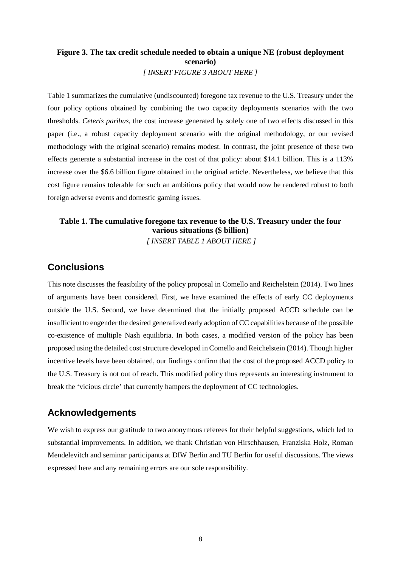## **Figure 3. The tax credit schedule needed to obtain a unique NE (robust deployment scenario)** *[ INSERT FIGURE 3 ABOUT HERE ]*

Table 1 summarizes the cumulative (undiscounted) foregone tax revenue to the U.S. Treasury under the four policy options obtained by combining the two capacity deployments scenarios with the two thresholds. *Ceteris paribus*, the cost increase generated by solely one of two effects discussed in this paper (i.e., a robust capacity deployment scenario with the original methodology, or our revised methodology with the original scenario) remains modest. In contrast, the joint presence of these two effects generate a substantial increase in the cost of that policy: about \$14.1 billion. This is a 113% increase over the \$6.6 billion figure obtained in the original article. Nevertheless, we believe that this cost figure remains tolerable for such an ambitious policy that would now be rendered robust to both foreign adverse events and domestic gaming issues.

#### **Table 1. The cumulative foregone tax revenue to the U.S. Treasury under the four various situations (\$ billion)** *[ INSERT TABLE 1 ABOUT HERE ]*

## **Conclusions**

This note discusses the feasibility of the policy proposal in Comello and Reichelstein (2014). Two lines of arguments have been considered. First, we have examined the effects of early CC deployments outside the U.S. Second, we have determined that the initially proposed ACCD schedule can be insufficient to engender the desired generalized early adoption of CC capabilities because of the possible co-existence of multiple Nash equilibria. In both cases, a modified version of the policy has been proposed using the detailed cost structure developed in Comello and Reichelstein (2014). Though higher incentive levels have been obtained, our findings confirm that the cost of the proposed ACCD policy to the U.S. Treasury is not out of reach. This modified policy thus represents an interesting instrument to break the 'vicious circle' that currently hampers the deployment of CC technologies.

# **Acknowledgements**

We wish to express our gratitude to two anonymous referees for their helpful suggestions, which led to substantial improvements. In addition, we thank Christian von Hirschhausen, Franziska Holz, Roman Mendelevitch and seminar participants at DIW Berlin and TU Berlin for useful discussions. The views expressed here and any remaining errors are our sole responsibility.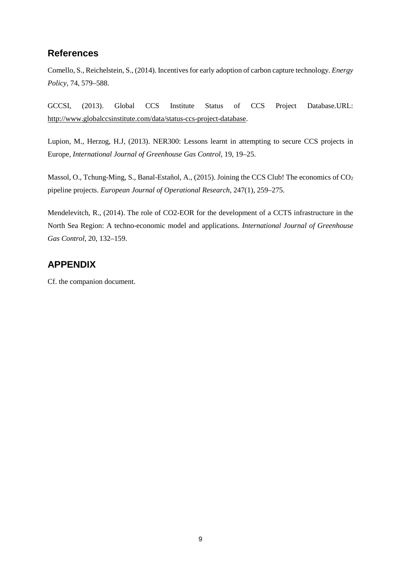# **References**

Comello, S., Reichelstein, S., (2014). Incentives for early adoption of carbon capture technology. *Energy Policy*, 74, 579–588.

GCCSI, (2013). Global CCS Institute Status of CCS Project Database.URL: [http://www.globalccsinstitute.com/data/status-ccs-project-database.](http://www.globalccsinstitute.com/data/status-ccs-project-database)

Lupion, M., Herzog, H.J, (2013). NER300: Lessons learnt in attempting to secure CCS projects in Europe, *International Journal of Greenhouse Gas Control*, 19, 19–25.

Massol, O., Tchung-Ming, S., Banal-Estañol, A., (2015). Joining the CCS Club! The economics of CO<sub>2</sub> pipeline projects. *European Journal of Operational Research*, 247(1), 259–275.

Mendelevitch, R., (2014). The role of CO2-EOR for the development of a CCTS infrastructure in the North Sea Region: A techno-economic model and applications. *International Journal of Greenhouse Gas Control*, 20, 132–159.

# **APPENDIX**

Cf. the companion document.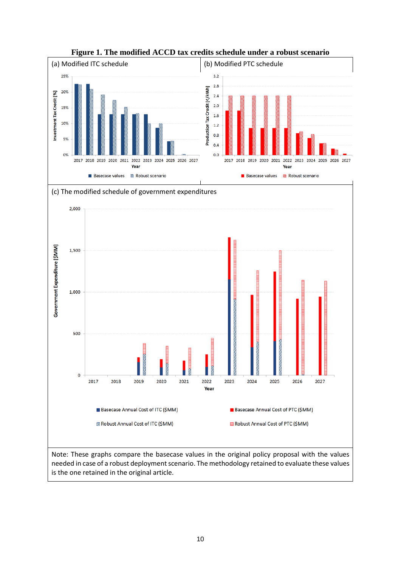

**Figure 1. The modified ACCD tax credits schedule under a robust scenario**



needed in case of a robust deployment scenario. The methodology retained to evaluate these values is the one retained in the original article.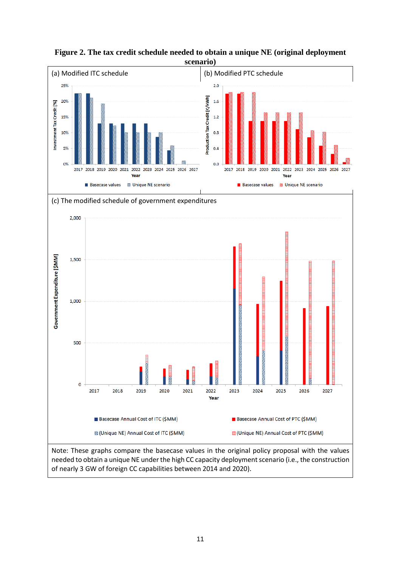

**Figure 2. The tax credit schedule needed to obtain a unique NE (original deployment scenario)**

needed to obtain a unique NE under the high CC capacity deployment scenario (i.e., the construction of nearly 3 GW of foreign CC capabilities between 2014 and 2020).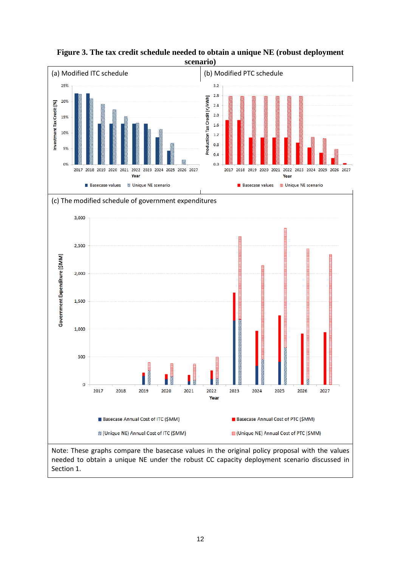

**Figure 3. The tax credit schedule needed to obtain a unique NE (robust deployment scenario)**

Note: These graphs compare the basecase values in the original policy proposal with the values needed to obtain a unique NE under the robust CC capacity deployment scenario discussed in Section 1.